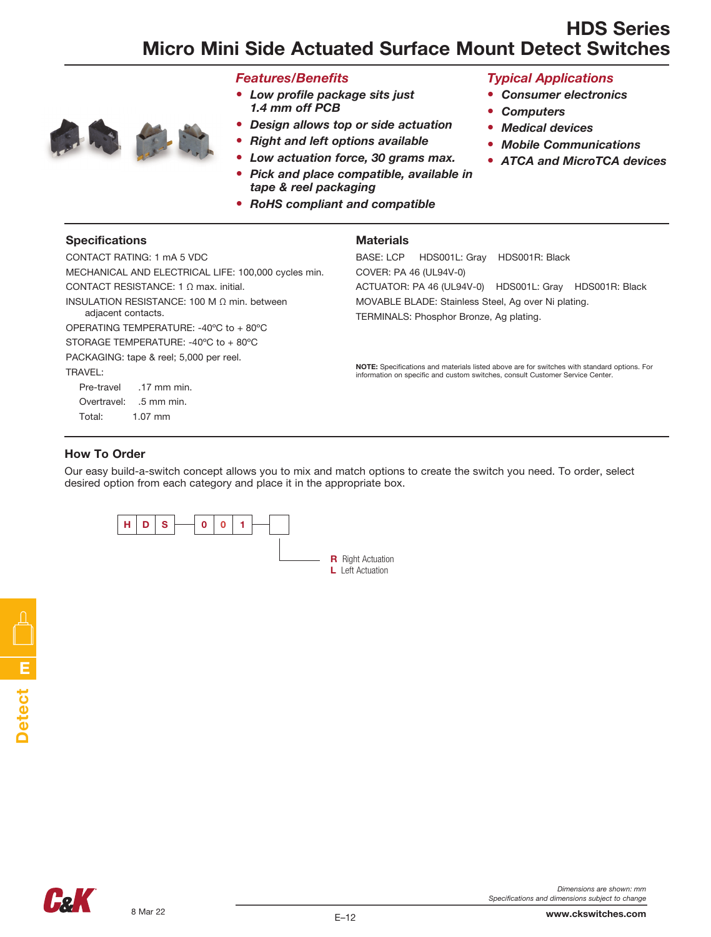# HDS Series Micro Mini Side Actuated Surface Mount Detect Switches



- *Features/Benefits*
- • *Low profile package sits just 1.4 mm off PCB*
- *Design allows top or side actuation*
- *Right and left options available*
- *Low actuation force, 30 grams max.*
- • *Pick and place compatible, available in tape & reel packaging*
- *RoHS compliant and compatible*

#### *Typical Applications*

- *Consumer electronics*
- *Computers*
- *Medical devices*
- *Mobile Communications*
- *ATCA and MicroTCA devices*

#### Specifications

#### **Materials**

CONTACT RATING: 1 mA 5 VDC MECHANICAL AND ELECTRICAL LIFE: 100,000 cycles min. CONTACT RESISTANCE: 1 Ω max. initial. INSULATION RESISTANCE: 100 M Ω min. between adjacent contacts. OPERATING TEMPERATURE: -40ºC to + 80ºC STORAGE TEMPERATURE: -40ºC to + 80ºC PACKAGING: tape & reel; 5,000 per reel. TRAVEL: Pre-travel .17 mm min. Overtravel: .5 mm min. Total: 1.07 mm

BASE: LCP HDS001L: Gray HDS001R: Black COVER: PA 46 (UL94V-0) ACTUATOR: PA 46 (UL94V-0) HDS001L: Gray HDS001R: Black MOVABLE BLADE: Stainless Steel, Ag over Ni plating. TERMINALS: Phosphor Bronze, Ag plating.

NOTE: Specifications and materials listed above are for switches with standard options. For information on specific and custom switches, consult Customer Service Center.

#### How To Order

Our easy build-a-switch concept allows you to mix and match options to create the switch you need. To order, select desired option from each category and place it in the appropriate box.





www.ckswitches.com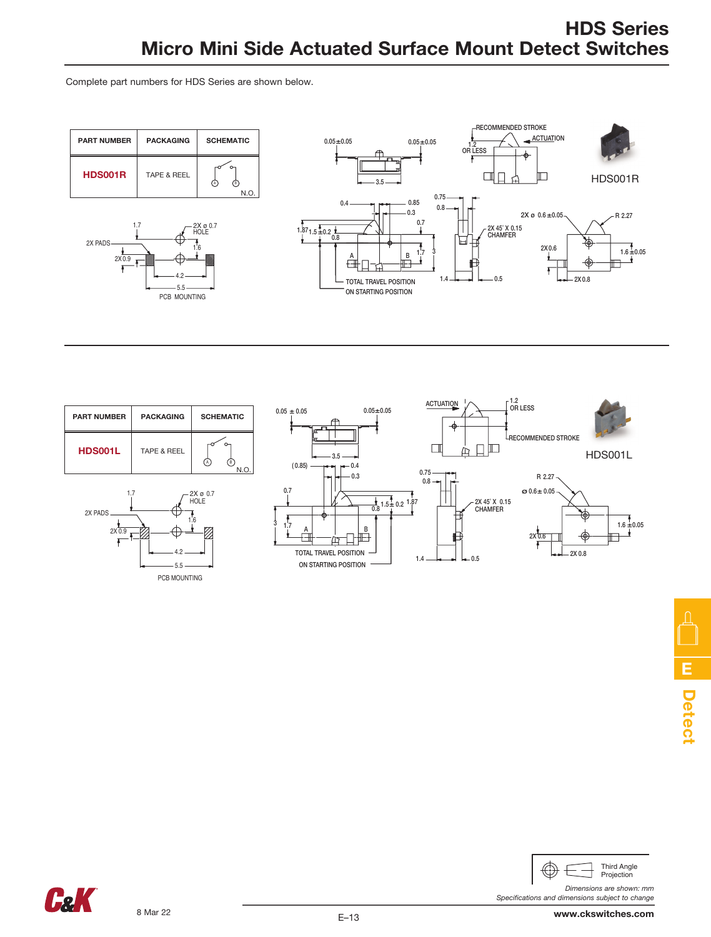Complete part numbers for HDS Series are shown below.







*Dimensions are shown: mm*

*Specifications and dimensions subject to change*



E–13